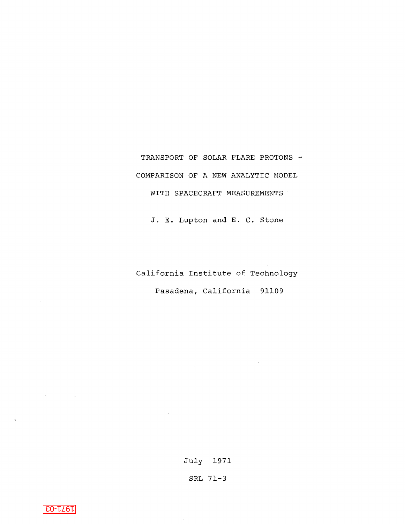TRANSPORT OF SOLAR FLARE PROTONS -COMPARISON OF A NEW ANALYTIC MODEL WITH SPACECRAFT MEASUREMENTS

J. E. Lupton and E. c. Stone

California Institute of Technology Pasadena, California 91109

July 1971

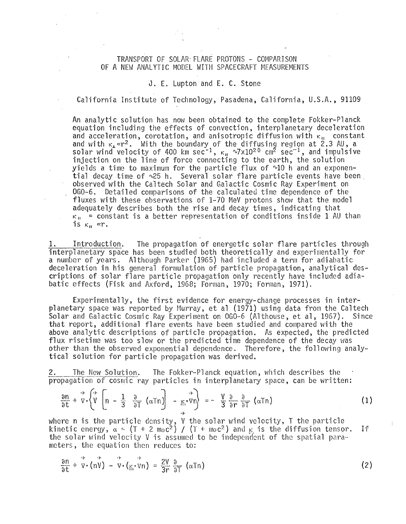## TRANSPORT OF SOLAR FLARE PROTONS - COMPARISON OF A NEW ANALYTIC MODEL WITH SPACECRAFT MEASUREMENTS

## J. E. Lupton and E. C. Stone

California Institute of Technology, Pasadena, California, U.S.A., 91109

An analytic solution has now been obtained to the complete Fokker-Planck equation including the effects of convection, interplanetary deceleration and acceleration, corotation, and anisotropic diffusion with  $\kappa_{\rm H}$  constant and with  $\kappa_1 \propto r^2$ . With the boundary of the diffusing region at 2.3 AU, a solar wind velocity of 400 km sec $^{-1}$ ,  $\kappa_{\rm H}$  ~7x10<sup>2.0</sup> cm<sup>2</sup> sec $^{-1}$ , and impulsive injection on the line of force connecting to the earth, the solution yields a time to maximum for the particle flux of  $\sim 10$  h and an exponen-<br>tial decay time of  $\sim 25$  h. Several solar flare particle events have been. observed with the Caltech Solar and Galactic Cosmic Ray Experiment on OG0-6. Detailed comparisons of the calculated time dependence of the fluxes with these observations of 1-70 MeV protons show that the model adequately describes both the rise and decay times, indicating that  $K_{\text{H}}$  = constant is a better representation of conditions inside 1 AU than is  $\kappa_{\rm H}$   $\propto$ r.

Introduction. The propagation of energetic solar flare particles through interplanetary space has been studied both theoretically and experimentally for a number of years. Although Parker (1965) had included a term for adiabatic deceleration in his general formulation of particle propagation, analytical descriptions of solar flare particle propagation only recently have included adiabatic effects (Fisk and Axford, 1968; Forman, 1970; Forman, 1971).

Experimentally, the first evidence for energy-change processes in interplanetary space was reported by Murray, et al (1971) using data from the Caltech<br>Solar and Galactic Cosmic Ray Experiment on OGO-6 (Althouse, et al. 1967). Since Solar and Galactic Cosmic Ray Experiment on OGO-6 (Althouse, et al, 1967). that report, additional flare events have been studied and compared with the above analytic descriptions of particle propagation. As expected, the predicted flux risetime was too slow or the predicted time dependence of the decay was other than the observed exponential dependence. Therefore, the following analytical solution for particle propagation was derived.

2. The New Solution. The Fokker-Planck equation, which describes the propagation of cosmic ray particles in interplanetary space, can be written:

$$
\frac{\partial n}{\partial t} + \vec{v} \cdot \left\{ \vec{V} \left[ n - \frac{1}{3} \frac{\partial}{\partial T} \left( \alpha T n \right) \right] - \underline{\kappa} \cdot \vec{v} n \right\} = - \frac{V}{3} \frac{\partial}{\partial r} \frac{\partial}{\partial T} \left( \alpha T n \right)
$$
 (1)

 $\mathbb{I}$ 

where n is the particle density, V the solar wind velocity, T the particle where n is the particle density,  $\sqrt{m}$  and  $\frac{m}{m}$  and  $\frac{m}{m}$  is the diffusion tensor. If the solar wind velocity V is assumed to be independent of the spatial parameters, the equation then reduces to:

$$
\frac{\partial n}{\partial t} + \vec{v} \cdot (n\vec{v}) - \vec{v} \cdot (\underline{\kappa} \cdot \vec{v} n) = \frac{2V}{3r} \frac{\partial}{\partial T} (aTn)
$$
 (2)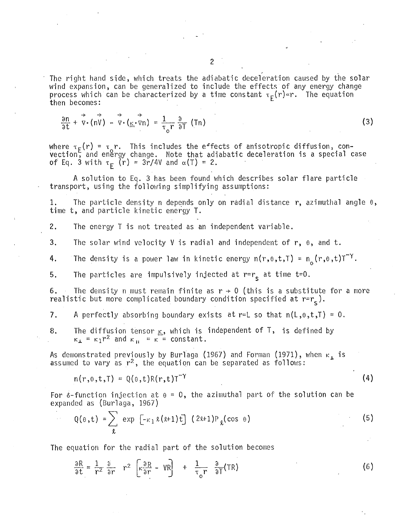$$
\frac{\partial n}{\partial t} + \vec{v} \cdot (n\vec{v}) - \vec{v} \cdot (\underline{\kappa} \cdot \vec{v} n) = \frac{1}{\tau_0 r} \frac{\partial}{\partial T} (Tn)
$$
 (3)

where  $\tau_{\mathsf{F}}(r)$  =  $\tau_{\mathsf{o}} r$ . This includes the effects of anisotropic diffusion, con-<code>vection</code>, and en $\overset{\text{\normalsize{a}}}{}$  change. Note that adiabatic deceleration is a special case of Eq. 3 with  $\tau_F$  (r) = 3r/4V and  $\alpha(T)$  = 2.

A solution to Eq. 3 has been found which describes solar flare particle transport, using the following simplifying assumptions:

1. The particle density n depends only on radial distance r, azimuthal angle  $\theta$ , time t, and particle kinetic energy T.

2. The energy T is not treated as an independent variable.

3. The solar wind velocity V is radial and independent of  $r$ ,  $\theta$ , and t.

4. The density is a power law in kinetic energy  $n(r, \theta, t, T) = n_c(r, \theta, t) T^Y$ .

5. The particles are impulsively injected at  $r=r_{\rm s}$  at time t=0.

6. The density n must remain finite as  $r \rightarrow 0$  (this is a substitute for a more realistic but more complicated boundary condition specified at  $r=r_c$ ).

7. A perfectly absorbing boundary exists at r=L so that  $n(L, \theta, t, T) = 0$ .

8. The diffusion tensor  $\mathbf{K}$ , which is independent of T, is defined by  $\kappa_{\perp} = \kappa_1 r^2$  and  $\kappa_{\parallel} = \kappa = \text{constant}$ .

As demonstrated previously by Burlaga (1967) and Forman (1971), when  $\kappa_\texttt{\_}$  is assumed to vary as  $r^2$ , the equation can be separated as follows:

 $n(r,0,t,T) = 0(0,t)R(r,t)T^{-\gamma}$  (4)

For  $\delta$ -function injection at  $\theta = 0$ , the azimuthal part of the solution can be expanded as (Burlaga, 1967)

$$
Q(\theta, t) = \sum_{\ell} exp\left[-\kappa_1 \ell (\ell+1) t\right] (2\ell+1) P_{\ell}(\cos \theta)
$$
 (5)

The equation for the radial part of the solution becomes

$$
\frac{\partial R}{\partial t} = \frac{1}{r^2} \frac{\partial}{\partial r} \quad r^2 \quad \left[ \kappa \frac{\partial R}{\partial r} - V R \right] \quad + \quad \frac{1}{\tau_o r} \quad \frac{\partial}{\partial T} (TR)
$$
 (6)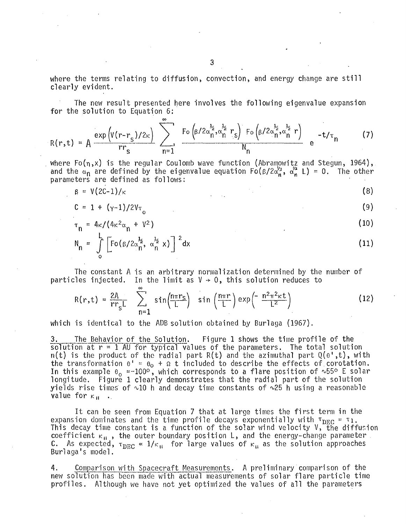where the terms relating to diffusion, convection, and energy change are still clearly evident.

The new result presented here involves the following eigenvalue expansion for the solution to Equation 6:

$$
R(r,t) = A \frac{\exp\left(V(r-r_s)/2\kappa\right)}{rr_s} \sum_{n=1}^{\infty} \frac{F_o\left(\beta/2\alpha_n^{\frac{1}{2}}, \alpha_n^{\frac{1}{2}} r_s\right) F_o\left(\beta/2\alpha_n^{\frac{1}{2}}, \alpha_n^{\frac{1}{2}} r\right)}{N_n} e^{-t/\tau_n}
$$
 (7)

. where Fo(n,x) is the regular Coulomb wave function (Abramowitz and Stegun, 1964), and the  $\alpha_{n}$  are defined by the eigenvalue equation Fo( $\beta/2\alpha_{n}^{\prime 2}$ ,  $\alpha_{n}^{\prime 2}$  L) = 0. The other parameters are defined as follows:

$$
\beta = V(2C-1)/\kappa \tag{8}
$$

$$
C = 1 + (\gamma - 1)/2V_{\tau}
$$
 (9)

$$
\tau_n = 4\kappa/(4\kappa^2\alpha_n + V^2)
$$
 (10)

$$
N_n = \int_{0}^{L} \left[ F_0 \left( \frac{\beta}{2\alpha_n^2}, \alpha_n^{\frac{1}{2}} x \right) \right]^2 dx
$$
 (11)

The constant A is an arbitrary normalization determined by the number of particles injected. In the limit as  $V \rightarrow 0$ , this solution reduces to  $\infty$ 

$$
R(r,t) = \frac{2A}{rr_sL} \sum_{n=1}^{\infty} \sin\left(\frac{n\pi r_s}{L}\right) \sin\left(\frac{n\pi r}{L}\right) \exp\left(-\frac{n^2\pi^2\kappa t}{L^2}\right)
$$
 (12)

which is identical to the ADB solution obtained by Burlaga (1967).

3. The Behavior of the Solution. Figure 1 shows the time profile of the solution at  $r = 1$  AU for typical values of the parameters. The total solution  $n(t)$  is the product of the radial part R(t) and the azimuthal part Q( $0^t$ ,t), with the transformation  $\theta^+ = \theta_0 + \Omega$  t included to describe the effects of corotation. In this example  $\theta_{o}$  =-100°, which corresponds to a flare position of ~55° E solar longitude. Figure 1 clearly demonstrates that the radial part of the solution yields rise times of  $~10$  h and decay time constants of  $~25$  h using a reasonable value for  $\kappa_{\rm H}$  .

It can be seen from Equation 7 that at large times the first term in the expansion dominates and the time profile decays exponentially with  $\tau_{DEC} = \tau_1$ . This decay time constant is a function of the solar wind velocity V, the diffusion coefficient  $K_{\rm H}$ , the outer boundary position L, and the energy-change parameter<br>C. As expected,  $\tau_{\rm DEC} \propto 1/\kappa_{\rm H}$  for large values of  $\kappa_{\rm H}$  as the solution approaches<br>Burlaga's model.

4. Comparison with Spacecraft Measurements. A preliminary comparison of the new solution has been made with actual measurements of solar flare particle time profiles. Although we have not yet optimized the values of all the parameters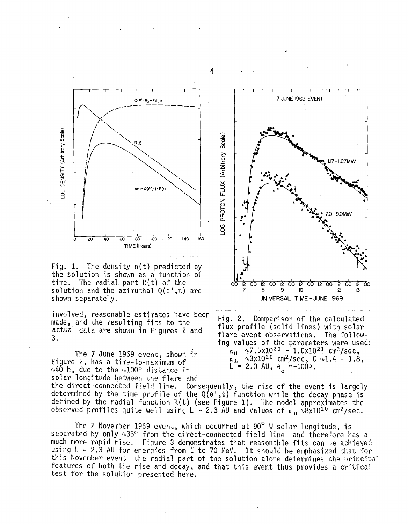

Fig. 1. The density n(t) predicted by the solution is shown as a function of time. The radial part R(t) of the solution and the azimuthal  $Q(\theta^*,t)$  are shown separately.

involved, reasonable estimates have been made, and the resulting fits to the actual data are shown in Figures 2 and 3.

The 7 June 1969 event, shown in Figure 2, has a time-to-maximum of  $\sim$ 40 h, due to the  $\sim$ 100° distance in solar longitude between the flare and  $\kappa_{\rm H}$   $\sim$ 7.5x10<sup>20</sup> - 1.0x10<sup>21</sup> cm<sup>2</sup>/sec,  $\kappa_{\perp}$  ~3x10<sup>20</sup> cm<sup>2</sup>/sec, C ~1.4 - 1.8, L = 2.3 AU,  $\theta_{\rm o}$  =-100 $\circ$ . the direct-connected field line. Consequently, the rise of the event is largely determined by the time profile of the  $Q(e',t)$  function while the decay phase is defined by the radial function  $R(t)$  (see Figure 1). The model approximates the observed profiles quite well using L = 2.3 AU and values of  $\kappa_{\rm H} \sim 8 \times 10^{20}$  cm<sup>2</sup>/sec.

The 2 November 1969 event, which occurred at 90<sup>°</sup> W solar longitude, is separated by only  $\sim$ 35° from the direct-connected field line and therefore has a much more rapid rise. Figure 3 demonstrates that reasonable fits can be achieved using  $L = 2.3$  AU for energies from 1 to 70 MeV. It should be emphasized that for this November event the radial part of the solution alone determines the principal features of both the rise and decay, and that this event thus provides a critical test for the solution presented here.



Fig. 2. Comparison of the calculated flux profile (solid lines) with solar flare event observations. The followtng values of the parameters were used:

4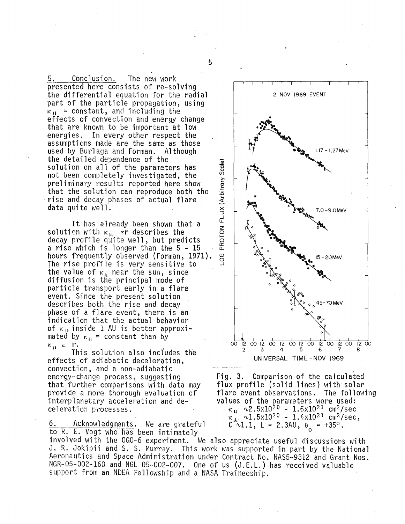5. Conclusion. The new work<br>presented here consists of re-solving the differential equation for the radial part of the particle propagation, using  $\kappa_{\rm H}$  = constant, and including the effects of convection and energy change that are known to be important at low energies. In every other respect the assumptions made are the same as those used by Burlaga and Forman. Although the detailed dependence of the solution on all of the parameters has not been completely investigated, the preliminary results reported here show that the solution can reproduce both the rise and decay phases of actual flare . data quite we 11.

It has already been shown that a solution with  $K_{11}$  ar describes the decay profile quite well, but predicts  $\overline{5}$ <br>a rise which is longer than the 5 - 15 · a.<br>hours frequently observed (Forman, 1971).  $\overline{9}$ <br>The rise profile is very sensitive to hours frequently observed (Forman, 1971).<br>The rise profile is very sensitive to the value of  $\kappa_{11}$  near the sun, since diffusion is the principal mode of particle transport early in a flare event. Since the present solution describes both the rise and decay phase of a flare event, there is an indication that the actual behavior of  $\kappa_{\rm H}$  inside 1 AU is better approxi-<br>mated by  $\kappa_{\rm H}$  = constant than by  $K_{\mathbf{H}} \propto \mathbf{r}$ .

. This solution also inciudes the effects of adiabatic deceleration, convection, and a non-adiabatic that further comparisons with data may<br>provide a more thorough evaluation of interplanetary acceleration and deceleration processes.

6. Acknowledgments. We are grateful  $C \sim 1.1$ ,  $L = 2.3AU$ ,  $\theta_{\circ} = +35^{\circ}$ . 6. Acknowledgments. We are grateful<br>to R. E. Vogt who has been intimately

involved with the OG0-6 experiment. We also appreciate useful discussions with J. R. Jokipii and S. S. Murray. This work was supported in part by the National Aeronautics and Space Administration under Contract No. NAS5-9312 and Grant Nos. NGR-05-002-160 and NGL 05-002-007. One of us (J.E.L.) has received valuable support from an NDEA Fellowship and a NASA Traineeship.



Fig. 3. Comparison of the calculated flux profile (solid lines) with· solar flare event observations. The following values of the parameters were used:  $\kappa_{\rm H}$   $\sim$  2.5x10<sup>20</sup> - 1.6x10<sup>21</sup> cm<sup>2</sup>/sec  $\kappa_{\perp}^2$  ~1.5x10<sup>20</sup> - 1.4x10<sup>21</sup> cm<sup>2</sup>/sec,